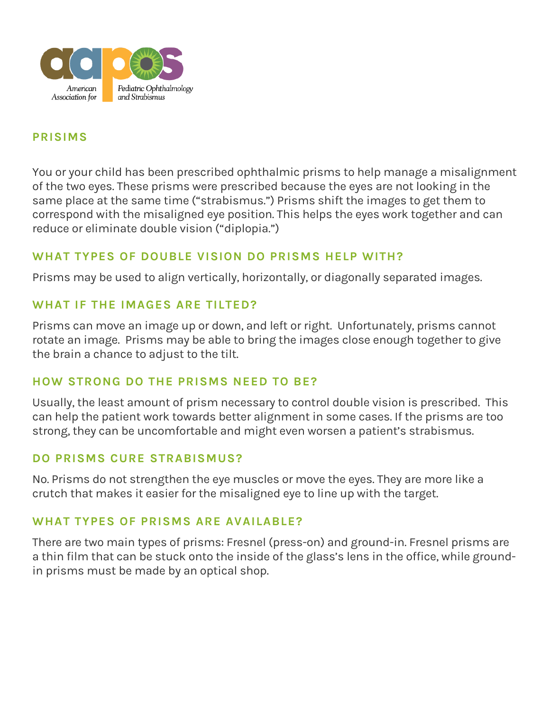

## **[PRISIMS](https://aapos.org/HigherLogic/System/DownloadDocumentFile.ashx?DocumentFileKey=f6ad53f9-e8b7-402b-e31a-b186a2fc9cc5&forceDialog=0)**

You or your child has been prescribed ophthalmic prisms to help manage a misalignment of the two eyes. These prisms were prescribed because the eyes are not looking in the same place at the same time ("strabismus.") Prisms shift the images to get them to correspond with the misaligned eye position. This helps the eyes work together and can reduce or eliminate double vision ("diplopia.")

## **WHAT TYPES OF DOUBLE VISION DO PRISMS HELP WITH?**

Prisms may be used to align vertically, horizontally, or diagonally separated images.

## **WHAT IF THE IMAGES ARE TILTED?**

Prisms can move an image up or down, and left or right. Unfortunately, prisms cannot rotate an image. Prisms may be able to bring the images close enough together to give the brain a chance to adjust to the tilt.

## **HOW STRONG DO THE PRISMS NEED TO BE?**

Usually, the least amount of prism necessary to control double vision is prescribed. This can help the patient work towards better alignment in some cases. If the prisms are too strong, they can be uncomfortable and might even worsen a patient's strabismus.

## **DO PRISMS CURE STRABISMUS?**

No. Prisms do not strengthen the eye muscles or move the eyes. They are more like a crutch that makes it easier for the misaligned eye to line up with the target.

## **WHAT TYPES OF PRISMS ARE AVAILABLE?**

There are two main types of prisms: Fresnel (press-on) and ground-in. Fresnel prisms are a thin film that can be stuck onto the inside of the glass's lens in the office, while groundin prisms must be made by an optical shop.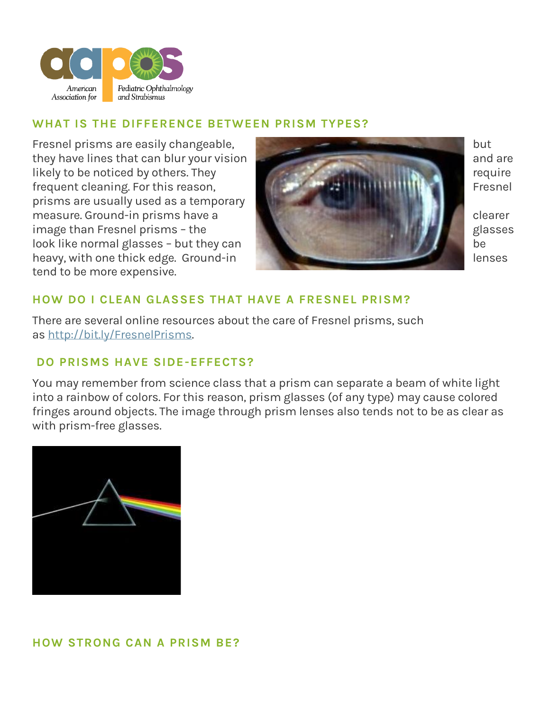

#### **WHAT IS THE DIFFERENCE BETWEEN PRISM TYPES?**

Fresnel prisms are easily changeable, but but all the state of the but but but but but but but all the but but  $\mathbf{b}$ they have lines that can blur your vision and are and are and are and are and are and are and are and are and are and are and are and are and are and are and are and are and are and are and are and are and are and are and likely to be noticed by others. They require frequent cleaning. For this reason, Fresnel Part of the state of the state of the state of the state of the state of the state of the state of the state of the state of the state of the state of the state of the state of t prisms are usually used as a temporary measure. Ground-in prisms have a clearer contains the clearer clearer image than Fresnel prisms - the glasses given by the glasses look like normal glasses – but they can be heavy, with one thick edge. Ground-in lenses and the state of the lenses tend to be more expensive.



# **HOW DO I CLEAN GLASSES THAT HAVE A FRESNEL PRISM?**

There are several online resources about the care of Fresnel prisms, such as [http://bit.ly/FresnelPrisms.](http://bit.ly/FresnelPrisms)

# **DO PRISMS HAVE SIDE-EFFECTS?**

You may remember from science class that a prism can separate a beam of white light into a rainbow of colors. For this reason, prism glasses (of any type) may cause colored fringes around objects. The image through prism lenses also tends not to be as clear as with prism-free glasses.



## **HOW STRONG CAN A PRISM BE?**